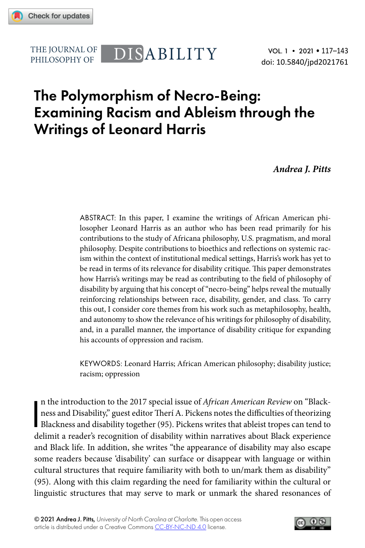

PHILOSOPHY OF

# THE JOURNAL OF DISABILITY

VOL. 1 • 2021 • 117–143 doi: 10.5840/jpd2021761

## The Polymorphism of Necro-Being: Examining Racism and Ableism through the Writings of Leonard Harris

*Andrea J. Pitts*

ABSTRACT: In this paper, I examine the writings of African American philosopher Leonard Harris as an author who has been read primarily for his contributions to the study of Africana philosophy, U.S. pragmatism, and moral philosophy. Despite contributions to bioethics and reflections on systemic racism within the context of institutional medical settings, Harris's work has yet to be read in terms of its relevance for disability critique. This paper demonstrates how Harris's writings may be read as contributing to the field of philosophy of disability by arguing that his concept of "necro-being" helps reveal the mutually reinforcing relationships between race, disability, gender, and class. To carry this out, I consider core themes from his work such as metaphilosophy, health, and autonomy to show the relevance of his writings for philosophy of disability, and, in a parallel manner, the importance of disability critique for expanding his accounts of oppression and racism.

KEYWORDS: Leonard Harris; African American philosophy; disability justice; racism; oppression

In the introduction to the 2017 special issue of *African American Review* on "Blackness and Disability," guest editor Theri A. Pickens notes the difficulties of theorizing Blackness and disability together (95). Pickens w n the introduction to the 2017 special issue of *African American Review* on "Blackness and Disability," guest editor Therí A. Pickens notes the difficulties of theorizing delimit a reader's recognition of disability within narratives about Black experience and Black life. In addition, she writes "the appearance of disability may also escape some readers because 'disability' can surface or disappear with language or within cultural structures that require familiarity with both to un/mark them as disability" (95). Along with this claim regarding the need for familiarity within the cultural or linguistic structures that may serve to mark or unmark the shared resonances of

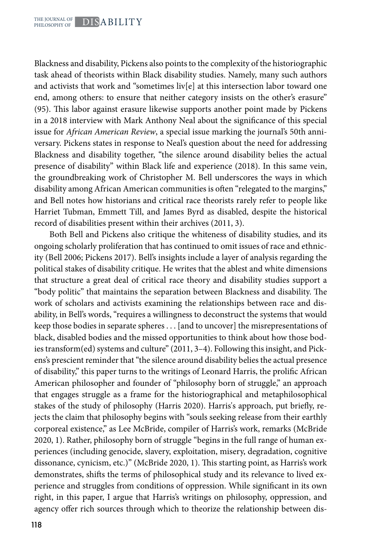Blackness and disability, Pickens also points to the complexity of the historiographic task ahead of theorists within Black disability studies. Namely, many such authors and activists that work and "sometimes liv[e] at this intersection labor toward one end, among others: to ensure that neither category insists on the other's erasure" (95). This labor against erasure likewise supports another point made by Pickens in a 2018 interview with Mark Anthony Neal about the significance of this special issue for *African American Review*, a special issue marking the journal's 50th anniversary. Pickens states in response to Neal's question about the need for addressing Blackness and disability together, "the silence around disability belies the actual presence of disability" within Black life and experience (2018). In this same vein, the groundbreaking work of Christopher M. Bell underscores the ways in which disability among African American communities is often "relegated to the margins," and Bell notes how historians and critical race theorists rarely refer to people like Harriet Tubman, Emmett Till, and James Byrd as disabled, despite the historical record of disabilities present within their archives (2011, 3).

Both Bell and Pickens also critique the whiteness of disability studies, and its ongoing scholarly proliferation that has continued to omit issues of race and ethnicity (Bell 2006; Pickens 2017). Bell's insights include a layer of analysis regarding the political stakes of disability critique. He writes that the ablest and white dimensions that structure a great deal of critical race theory and disability studies support a "body politic" that maintains the separation between Blackness and disability. The work of scholars and activists examining the relationships between race and disability, in Bell's words, "requires a willingness to deconstruct the systems that would keep those bodies in separate spheres . . . [and to uncover] the misrepresentations of black, disabled bodies and the missed opportunities to think about how those bodies transform(ed) systems and culture" (2011, 3–4). Following this insight, and Pickens's prescient reminder that "the silence around disability belies the actual presence of disability," this paper turns to the writings of Leonard Harris, the prolific African American philosopher and founder of "philosophy born of struggle," an approach that engages struggle as a frame for the historiographical and metaphilosophical stakes of the study of philosophy (Harris 2020). Harris's approach, put briefly, rejects the claim that philosophy begins with "souls seeking release from their earthly corporeal existence," as Lee McBride, compiler of Harris's work, remarks (McBride 2020, 1). Rather, philosophy born of struggle "begins in the full range of human experiences (including genocide, slavery, exploitation, misery, degradation, cognitive dissonance, cynicism, etc.)" (McBride 2020, 1). This starting point, as Harris's work demonstrates, shifts the terms of philosophical study and its relevance to lived experience and struggles from conditions of oppression. While significant in its own right, in this paper, I argue that Harris's writings on philosophy, oppression, and agency offer rich sources through which to theorize the relationship between dis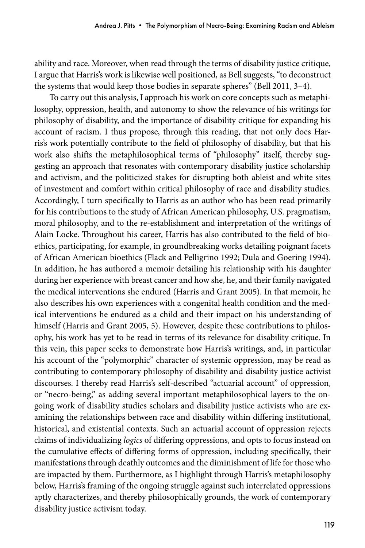ability and race. Moreover, when read through the terms of disability justice critique, I argue that Harris's work is likewise well positioned, as Bell suggests, "to deconstruct the systems that would keep those bodies in separate spheres'' (Bell 2011, 3–4).

To carry out this analysis, I approach his work on core concepts such as metaphilosophy, oppression, health, and autonomy to show the relevance of his writings for philosophy of disability, and the importance of disability critique for expanding his account of racism. I thus propose, through this reading, that not only does Harris's work potentially contribute to the field of philosophy of disability, but that his work also shifts the metaphilosophical terms of "philosophy'' itself, thereby suggesting an approach that resonates with contemporary disability justice scholarship and activism, and the politicized stakes for disrupting both ableist and white sites of investment and comfort within critical philosophy of race and disability studies. Accordingly, I turn specifically to Harris as an author who has been read primarily for his contributions to the study of African American philosophy, U.S. pragmatism, moral philosophy, and to the re-establishment and interpretation of the writings of Alain Locke. Throughout his career, Harris has also contributed to the field of bioethics, participating, for example, in groundbreaking works detailing poignant facets of African American bioethics (Flack and Pelligrino 1992; Dula and Goering 1994). In addition, he has authored a memoir detailing his relationship with his daughter during her experience with breast cancer and how she, he, and their family navigated the medical interventions she endured (Harris and Grant 2005). In that memoir, he also describes his own experiences with a congenital health condition and the medical interventions he endured as a child and their impact on his understanding of himself (Harris and Grant 2005, 5). However, despite these contributions to philosophy, his work has yet to be read in terms of its relevance for disability critique. In this vein, this paper seeks to demonstrate how Harris's writings, and, in particular his account of the "polymorphic" character of systemic oppression, may be read as contributing to contemporary philosophy of disability and disability justice activist discourses. I thereby read Harris's self-described "actuarial account" of oppression, or "necro-being," as adding several important metaphilosophical layers to the ongoing work of disability studies scholars and disability justice activists who are examining the relationships between race and disability within differing institutional, historical, and existential contexts. Such an actuarial account of oppression rejects claims of individualizing *logics* of differing oppressions, and opts to focus instead on the cumulative effects of differing forms of oppression, including specifically, their manifestations through deathly outcomes and the diminishment of life for those who are impacted by them. Furthermore, as I highlight through Harris's metaphilosophy below, Harris's framing of the ongoing struggle against such interrelated oppressions aptly characterizes, and thereby philosophically grounds, the work of contemporary disability justice activism today.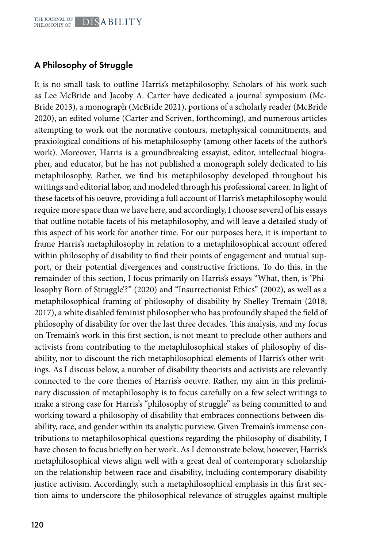## A Philosophy of Struggle

It is no small task to outline Harris's metaphilosophy. Scholars of his work such as Lee McBride and Jacoby A. Carter have dedicated a journal symposium (Mc-Bride 2013), a monograph (McBride 2021), portions of a scholarly reader (McBride 2020), an edited volume (Carter and Scriven, forthcoming), and numerous articles attempting to work out the normative contours, metaphysical commitments, and praxiological conditions of his metaphilosophy (among other facets of the author's work). Moreover, Harris is a groundbreaking essayist, editor, intellectual biographer, and educator, but he has not published a monograph solely dedicated to his metaphilosophy. Rather, we find his metaphilosophy developed throughout his writings and editorial labor, and modeled through his professional career. In light of these facets of his oeuvre, providing a full account of Harris's metaphilosophy would require more space than we have here, and accordingly, I choose several of his essays that outline notable facets of his metaphilosophy, and will leave a detailed study of this aspect of his work for another time. For our purposes here, it is important to frame Harris's metaphilosophy in relation to a metaphilosophical account offered within philosophy of disability to find their points of engagement and mutual support, or their potential divergences and constructive frictions. To do this, in the remainder of this section, I focus primarily on Harris's essays "What, then, is 'Philosophy Born of Struggle'?" (2020) and "Insurrectionist Ethics" (2002), as well as a metaphilosophical framing of philosophy of disability by Shelley Tremain (2018; 2017), a white disabled feminist philosopher who has profoundly shaped the field of philosophy of disability for over the last three decades. This analysis, and my focus on Tremain's work in this first section, is not meant to preclude other authors and activists from contributing to the metaphilosophical stakes of philosophy of disability, nor to discount the rich metaphilosophical elements of Harris's other writings. As I discuss below, a number of disability theorists and activists are relevantly connected to the core themes of Harris's oeuvre. Rather, my aim in this preliminary discussion of metaphilosophy is to focus carefully on a few select writings to make a strong case for Harris's "philosophy of struggle" as being committed to and working toward a philosophy of disability that embraces connections between disability, race, and gender within its analytic purview. Given Tremain's immense contributions to metaphilosophical questions regarding the philosophy of disability, I have chosen to focus briefly on her work. As I demonstrate below, however, Harris's metaphilosophical views align well with a great deal of contemporary scholarship on the relationship between race and disability, including contemporary disability justice activism. Accordingly, such a metaphilosophical emphasis in this first section aims to underscore the philosophical relevance of struggles against multiple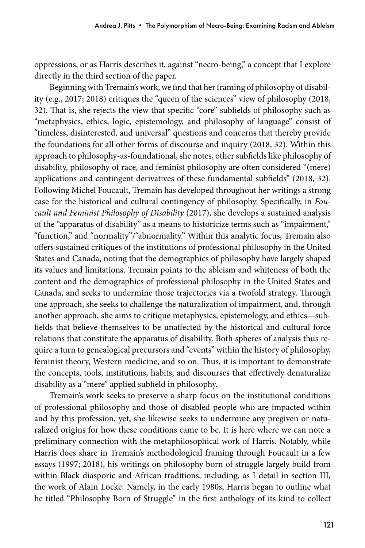oppressions, or as Harris describes it, against "necro-being," a concept that I explore directly in the third section of the paper.

Beginning with Tremain's work, we find that her framing of philosophy of disability (e.g., 2017; 2018) critiques the "queen of the sciences" view of philosophy (2018, 32). That is, she rejects the view that specific "core" subfields of philosophy such as "metaphysics, ethics, logic, epistemology, and philosophy of language" consist of "timeless, disinterested, and universal" questions and concerns that thereby provide the foundations for all other forms of discourse and inquiry (2018, 32). Within this approach to philosophy-as-foundational, she notes, other subfields like philosophy of disability, philosophy of race, and feminist philosophy are often considered "(mere) applications and contingent derivatives of these fundamental subfields" (2018, 32). Following Michel Foucault, Tremain has developed throughout her writings a strong case for the historical and cultural contingency of philosophy. Specifically, in *Foucault and Feminist Philosophy of Disability* (2017), she develops a sustained analysis of the "apparatus of disability" as a means to historicize terms such as "impairment," "function," and "normality"/"abnormality." Within this analytic focus, Tremain also offers sustained critiques of the institutions of professional philosophy in the United States and Canada, noting that the demographics of philosophy have largely shaped its values and limitations. Tremain points to the ableism and whiteness of both the content and the demographics of professional philosophy in the United States and Canada, and seeks to undermine those trajectories via a twofold strategy. Through one approach, she seeks to challenge the naturalization of impairment, and, through another approach, she aims to critique metaphysics, epistemology, and ethics—subfields that believe themselves to be unaffected by the historical and cultural force relations that constitute the apparatus of disability. Both spheres of analysis thus require a turn to genealogical precursors and "events" within the history of philosophy, feminist theory, Western medicine, and so on. Thus, it is important to demonstrate the concepts, tools, institutions, habits, and discourses that effectively denaturalize disability as a "mere" applied subfield in philosophy.

Tremain's work seeks to preserve a sharp focus on the institutional conditions of professional philosophy and those of disabled people who are impacted within and by this profession, yet, she likewise seeks to undermine any pregiven or naturalized origins for how these conditions came to be. It is here where we can note a preliminary connection with the metaphilosophical work of Harris. Notably, while Harris does share in Tremain's methodological framing through Foucault in a few essays (1997; 2018), his writings on philosophy born of struggle largely build from within Black diasporic and African traditions, including, as I detail in section III, the work of Alain Locke. Namely, in the early 1980s, Harris began to outline what he titled "Philosophy Born of Struggle" in the first anthology of its kind to collect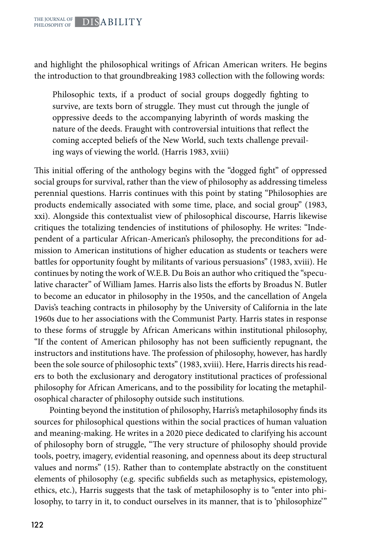and highlight the philosophical writings of African American writers. He begins the introduction to that groundbreaking 1983 collection with the following words:

Philosophic texts, if a product of social groups doggedly fighting to survive, are texts born of struggle. They must cut through the jungle of oppressive deeds to the accompanying labyrinth of words masking the nature of the deeds. Fraught with controversial intuitions that reflect the coming accepted beliefs of the New World, such texts challenge prevailing ways of viewing the world. (Harris 1983, xviii)

This initial offering of the anthology begins with the "dogged fight" of oppressed social groups for survival, rather than the view of philosophy as addressing timeless perennial questions. Harris continues with this point by stating "Philosophies are products endemically associated with some time, place, and social group" (1983, xxi). Alongside this contextualist view of philosophical discourse, Harris likewise critiques the totalizing tendencies of institutions of philosophy. He writes: "Independent of a particular African-American's philosophy, the preconditions for admission to American institutions of higher education as students or teachers were battles for opportunity fought by militants of various persuasions" (1983, xviii). He continues by noting the work of W.E.B. Du Bois an author who critiqued the "speculative character" of William James. Harris also lists the efforts by Broadus N. Butler to become an educator in philosophy in the 1950s, and the cancellation of Angela Davis's teaching contracts in philosophy by the University of California in the late 1960s due to her associations with the Communist Party. Harris states in response to these forms of struggle by African Americans within institutional philosophy, "If the content of American philosophy has not been sufficiently repugnant, the instructors and institutions have. The profession of philosophy, however, has hardly been the sole source of philosophic texts" (1983, xviii). Here, Harris directs his readers to both the exclusionary and derogatory institutional practices of professional philosophy for African Americans, and to the possibility for locating the metaphilosophical character of philosophy outside such institutions.

Pointing beyond the institution of philosophy, Harris's metaphilosophy finds its sources for philosophical questions within the social practices of human valuation and meaning-making. He writes in a 2020 piece dedicated to clarifying his account of philosophy born of struggle, "The very structure of philosophy should provide tools, poetry, imagery, evidential reasoning, and openness about its deep structural values and norms" (15). Rather than to contemplate abstractly on the constituent elements of philosophy (e.g. specific subfields such as metaphysics, epistemology, ethics, etc.), Harris suggests that the task of metaphilosophy is to "enter into philosophy, to tarry in it, to conduct ourselves in its manner, that is to 'philosophize'"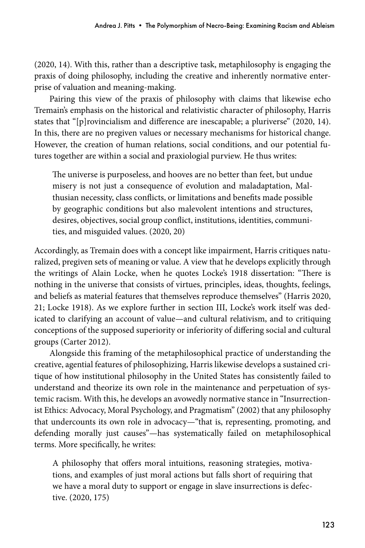(2020, 14). With this, rather than a descriptive task, metaphilosophy is engaging the praxis of doing philosophy, including the creative and inherently normative enterprise of valuation and meaning-making.

Pairing this view of the praxis of philosophy with claims that likewise echo Tremain's emphasis on the historical and relativistic character of philosophy, Harris states that "[p]rovincialism and difference are inescapable; a pluriverse" (2020, 14). In this, there are no pregiven values or necessary mechanisms for historical change. However, the creation of human relations, social conditions, and our potential futures together are within a social and praxiologial purview. He thus writes:

The universe is purposeless, and hooves are no better than feet, but undue misery is not just a consequence of evolution and maladaptation, Malthusian necessity, class conflicts, or limitations and benefits made possible by geographic conditions but also malevolent intentions and structures, desires, objectives, social group conflict, institutions, identities, communities, and misguided values. (2020, 20)

Accordingly, as Tremain does with a concept like impairment, Harris critiques naturalized, pregiven sets of meaning or value. A view that he develops explicitly through the writings of Alain Locke, when he quotes Locke's 1918 dissertation: "There is nothing in the universe that consists of virtues, principles, ideas, thoughts, feelings, and beliefs as material features that themselves reproduce themselves" (Harris 2020, 21; Locke 1918). As we explore further in section III, Locke's work itself was dedicated to clarifying an account of value—and cultural relativism, and to critiquing conceptions of the supposed superiority or inferiority of differing social and cultural groups (Carter 2012).

Alongside this framing of the metaphilosophical practice of understanding the creative, agential features of philosophizing, Harris likewise develops a sustained critique of how institutional philosophy in the United States has consistently failed to understand and theorize its own role in the maintenance and perpetuation of systemic racism. With this, he develops an avowedly normative stance in "Insurrectionist Ethics: Advocacy, Moral Psychology, and Pragmatism" (2002) that any philosophy that undercounts its own role in advocacy—"that is, representing, promoting, and defending morally just causes"—has systematically failed on metaphilosophical terms. More specifically, he writes:

A philosophy that offers moral intuitions, reasoning strategies, motivations, and examples of just moral actions but falls short of requiring that we have a moral duty to support or engage in slave insurrections is defective. (2020, 175)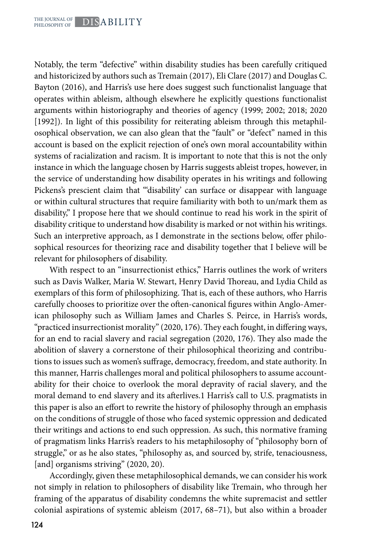Notably, the term "defective" within disability studies has been carefully critiqued and historicized by authors such as Tremain (2017), Eli Clare (2017) and Douglas C. Bayton (2016), and Harris's use here does suggest such functionalist language that operates within ableism, although elsewhere he explicitly questions functionalist arguments within historiography and theories of agency (1999; 2002; 2018; 2020 [1992]). In light of this possibility for reiterating ableism through this metaphilosophical observation, we can also glean that the "fault" or "defect" named in this account is based on the explicit rejection of one's own moral accountability within systems of racialization and racism. It is important to note that this is not the only instance in which the language chosen by Harris suggests ableist tropes, however, in the service of understanding how disability operates in his writings and following Pickens's prescient claim that "'disability' can surface or disappear with language or within cultural structures that require familiarity with both to un/mark them as disability," I propose here that we should continue to read his work in the spirit of disability critique to understand how disability is marked or not within his writings. Such an interpretive approach, as I demonstrate in the sections below, offer philosophical resources for theorizing race and disability together that I believe will be relevant for philosophers of disability.

With respect to an "insurrectionist ethics," Harris outlines the work of writers such as Davis Walker, Maria W. Stewart, Henry David Thoreau, and Lydia Child as exemplars of this form of philosophizing. That is, each of these authors, who Harris carefully chooses to prioritize over the often-canonical figures within Anglo-American philosophy such as William James and Charles S. Peirce, in Harris's words, "practiced insurrectionist morality" (2020, 176). They each fought, in differing ways, for an end to racial slavery and racial segregation (2020, 176). They also made the abolition of slavery a cornerstone of their philosophical theorizing and contributions to issues such as women's suffrage, democracy, freedom, and state authority. In this manner, Harris challenges moral and political philosophers to assume accountability for their choice to overlook the moral depravity of racial slavery, and the moral demand to end slavery and its afterlives.1 Harris's call to U.S. pragmatists in this paper is also an effort to rewrite the history of philosophy through an emphasis on the conditions of struggle of those who faced systemic oppression and dedicated their writings and actions to end such oppression. As such, this normative framing of pragmatism links Harris's readers to his metaphilosophy of "philosophy born of struggle," or as he also states, "philosophy as, and sourced by, strife, tenaciousness, [and] organisms striving" (2020, 20).

Accordingly, given these metaphilosophical demands, we can consider his work not simply in relation to philosophers of disability like Tremain, who through her framing of the apparatus of disability condemns the white supremacist and settler colonial aspirations of systemic ableism (2017, 68–71), but also within a broader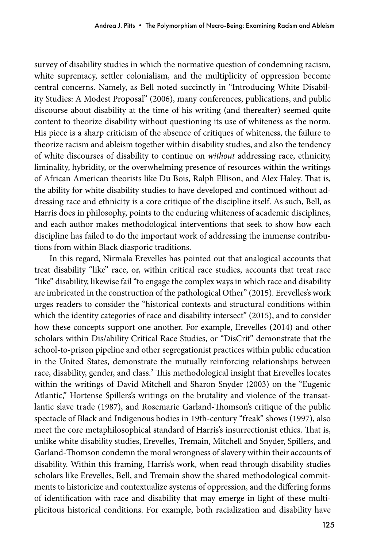survey of disability studies in which the normative question of condemning racism, white supremacy, settler colonialism, and the multiplicity of oppression become central concerns. Namely, as Bell noted succinctly in "Introducing White Disability Studies: A Modest Proposal" (2006), many conferences, publications, and public discourse about disability at the time of his writing (and thereafter) seemed quite content to theorize disability without questioning its use of whiteness as the norm. His piece is a sharp criticism of the absence of critiques of whiteness, the failure to theorize racism and ableism together within disability studies, and also the tendency of white discourses of disability to continue on *without* addressing race, ethnicity, liminality, hybridity, or the overwhelming presence of resources within the writings of African American theorists like Du Bois, Ralph Ellison, and Alex Haley. That is, the ability for white disability studies to have developed and continued without addressing race and ethnicity is a core critique of the discipline itself. As such, Bell, as Harris does in philosophy, points to the enduring whiteness of academic disciplines, and each author makes methodological interventions that seek to show how each discipline has failed to do the important work of addressing the immense contributions from within Black diasporic traditions.

In this regard, Nirmala Erevelles has pointed out that analogical accounts that treat disability "like" race, or, within critical race studies, accounts that treat race "like" disability, likewise fail "to engage the complex ways in which race and disability are imbricated in the construction of the pathological Other" (2015). Erevelles's work urges readers to consider the "historical contexts and structural conditions within which the identity categories of race and disability intersect" (2015), and to consider how these concepts support one another. For example, Erevelles (2014) and other scholars within Dis/ability Critical Race Studies, or "DisCrit" demonstrate that the school-to-prison pipeline and other segregationist practices within public education in the United States, demonstrate the mutually reinforcing relationships between race, disability, gender, and class.<sup>2</sup> This methodological insight that Erevelles locates within the writings of David Mitchell and Sharon Snyder (2003) on the "Eugenic Atlantic," Hortense Spillers's writings on the brutality and violence of the transatlantic slave trade (1987), and Rosemarie Garland-Thomson's critique of the public spectacle of Black and Indigenous bodies in 19th-century "freak" shows (1997), also meet the core metaphilosophical standard of Harris's insurrectionist ethics. That is, unlike white disability studies, Erevelles, Tremain, Mitchell and Snyder, Spillers, and Garland-Thomson condemn the moral wrongness of slavery within their accounts of disability. Within this framing, Harris's work, when read through disability studies scholars like Erevelles, Bell, and Tremain show the shared methodological commitments to historicize and contextualize systems of oppression, and the differing forms of identification with race and disability that may emerge in light of these multiplicitous historical conditions. For example, both racialization and disability have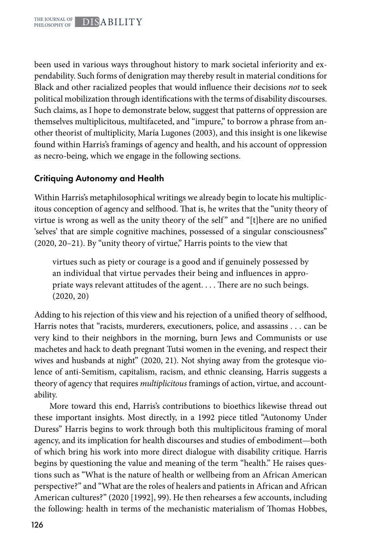been used in various ways throughout history to mark societal inferiority and expendability. Such forms of denigration may thereby result in material conditions for Black and other racialized peoples that would influence their decisions *not* to seek political mobilization through identifications with the terms of disability discourses. Such claims, as I hope to demonstrate below, suggest that patterns of oppression are themselves multiplicitous, multifaceted, and "impure," to borrow a phrase from another theorist of multiplicity, María Lugones (2003), and this insight is one likewise found within Harris's framings of agency and health, and his account of oppression as necro-being, which we engage in the following sections.

## Critiquing Autonomy and Health

Within Harris's metaphilosophical writings we already begin to locate his multiplicitous conception of agency and selfhood. That is, he writes that the "unity theory of virtue is wrong as well as the unity theory of the self" and "[t]here are no unified 'selves' that are simple cognitive machines, possessed of a singular consciousness" (2020, 20–21). By "unity theory of virtue," Harris points to the view that

virtues such as piety or courage is a good and if genuinely possessed by an individual that virtue pervades their being and influences in appropriate ways relevant attitudes of the agent. . . . There are no such beings. (2020, 20)

Adding to his rejection of this view and his rejection of a unified theory of selfhood, Harris notes that "racists, murderers, executioners, police, and assassins . . . can be very kind to their neighbors in the morning, burn Jews and Communists or use machetes and hack to death pregnant Tutsi women in the evening, and respect their wives and husbands at night" (2020, 21). Not shying away from the grotesque violence of anti-Semitism, capitalism, racism, and ethnic cleansing, Harris suggests a theory of agency that requires *multiplicitous* framings of action, virtue, and accountability.

More toward this end, Harris's contributions to bioethics likewise thread out these important insights. Most directly, in a 1992 piece titled "Autonomy Under Duress" Harris begins to work through both this multiplicitous framing of moral agency, and its implication for health discourses and studies of embodiment—both of which bring his work into more direct dialogue with disability critique. Harris begins by questioning the value and meaning of the term "health." He raises questions such as "What is the nature of health or wellbeing from an African American perspective?" and "What are the roles of healers and patients in African and African American cultures?" (2020 [1992], 99). He then rehearses a few accounts, including the following: health in terms of the mechanistic materialism of Thomas Hobbes,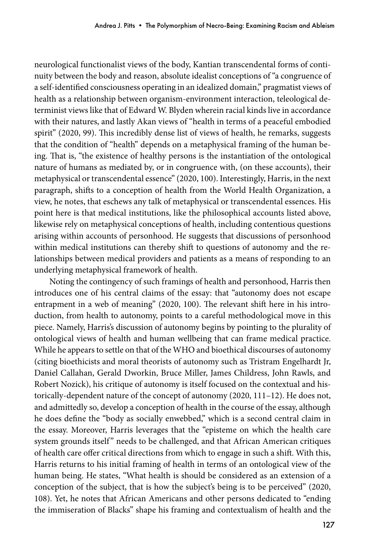neurological functionalist views of the body, Kantian transcendental forms of continuity between the body and reason, absolute idealist conceptions of "a congruence of a self-identified consciousness operating in an idealized domain," pragmatist views of health as a relationship between organism-environment interaction, teleological determinist views like that of Edward W. Blyden wherein racial kinds live in accordance with their natures, and lastly Akan views of "health in terms of a peaceful embodied spirit" (2020, 99). This incredibly dense list of views of health, he remarks, suggests that the condition of "health" depends on a metaphysical framing of the human being. That is, "the existence of healthy persons is the instantiation of the ontological nature of humans as mediated by, or in congruence with, (on these accounts), their metaphysical or transcendental essence" (2020, 100). Interestingly, Harris, in the next paragraph, shifts to a conception of health from the World Health Organization, a view, he notes, that eschews any talk of metaphysical or transcendental essences. His point here is that medical institutions, like the philosophical accounts listed above, likewise rely on metaphysical conceptions of health, including contentious questions arising within accounts of personhood. He suggests that discussions of personhood within medical institutions can thereby shift to questions of autonomy and the relationships between medical providers and patients as a means of responding to an underlying metaphysical framework of health.

Noting the contingency of such framings of health and personhood, Harris then introduces one of his central claims of the essay: that "autonomy does not escape entrapment in a web of meaning" (2020, 100). The relevant shift here in his introduction, from health to autonomy, points to a careful methodological move in this piece. Namely, Harris's discussion of autonomy begins by pointing to the plurality of ontological views of health and human wellbeing that can frame medical practice. While he appears to settle on that of the WHO and bioethical discourses of autonomy (citing bioethicists and moral theorists of autonomy such as Tristram Engelhardt Jr, Daniel Callahan, Gerald Dworkin, Bruce Miller, James Childress, John Rawls, and Robert Nozick), his critique of autonomy is itself focused on the contextual and historically-dependent nature of the concept of autonomy (2020, 111–12). He does not, and admittedly so, develop a conception of health in the course of the essay, although he does define the "body as socially enwebbed," which is a second central claim in the essay. Moreover, Harris leverages that the "episteme on which the health care system grounds itself" needs to be challenged, and that African American critiques of health care offer critical directions from which to engage in such a shift. With this, Harris returns to his initial framing of health in terms of an ontological view of the human being. He states, "What health is should be considered as an extension of a conception of the subject, that is how the subject's being is to be perceived" (2020, 108). Yet, he notes that African Americans and other persons dedicated to "ending the immiseration of Blacks" shape his framing and contextualism of health and the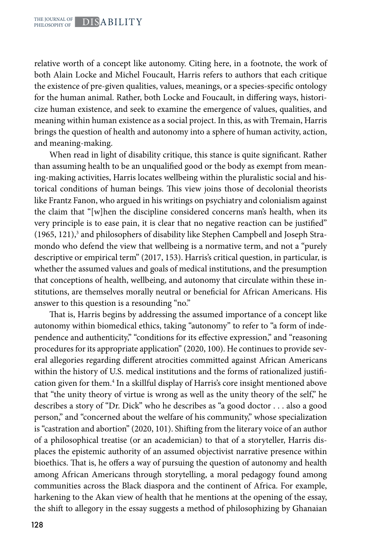relative worth of a concept like autonomy. Citing here, in a footnote, the work of both Alain Locke and Michel Foucault, Harris refers to authors that each critique the existence of pre-given qualities, values, meanings, or a species-specific ontology for the human animal. Rather, both Locke and Foucault, in differing ways, historicize human existence, and seek to examine the emergence of values, qualities, and meaning within human existence as a social project. In this, as with Tremain, Harris brings the question of health and autonomy into a sphere of human activity, action, and meaning-making.

When read in light of disability critique, this stance is quite significant. Rather than assuming health to be an unqualified good or the body as exempt from meaning-making activities, Harris locates wellbeing within the pluralistic social and historical conditions of human beings. This view joins those of decolonial theorists like Frantz Fanon, who argued in his writings on psychiatry and colonialism against the claim that "[w]hen the discipline considered concerns man's health, when its very principle is to ease pain, it is clear that no negative reaction can be justified" (1965, 121),<sup>3</sup> and philosophers of disability like Stephen Campbell and Joseph Stramondo who defend the view that wellbeing is a normative term, and not a "purely descriptive or empirical term" (2017, 153). Harris's critical question, in particular, is whether the assumed values and goals of medical institutions, and the presumption that conceptions of health, wellbeing, and autonomy that circulate within these institutions, are themselves morally neutral or beneficial for African Americans. His answer to this question is a resounding "no."

That is, Harris begins by addressing the assumed importance of a concept like autonomy within biomedical ethics, taking "autonomy" to refer to "a form of independence and authenticity," "conditions for its effective expression," and "reasoning procedures for its appropriate application" (2020, 100). He continues to provide several allegories regarding different atrocities committed against African Americans within the history of U.S. medical institutions and the forms of rationalized justification given for them.<sup>4</sup> In a skillful display of Harris's core insight mentioned above that "the unity theory of virtue is wrong as well as the unity theory of the self," he describes a story of "Dr. Dick" who he describes as "a good doctor . . . also a good person," and "concerned about the welfare of his community," whose specialization is "castration and abortion" (2020, 101). Shifting from the literary voice of an author of a philosophical treatise (or an academician) to that of a storyteller, Harris displaces the epistemic authority of an assumed objectivist narrative presence within bioethics. That is, he offers a way of pursuing the question of autonomy and health among African Americans through storytelling, a moral pedagogy found among communities across the Black diaspora and the continent of Africa. For example, harkening to the Akan view of health that he mentions at the opening of the essay, the shift to allegory in the essay suggests a method of philosophizing by Ghanaian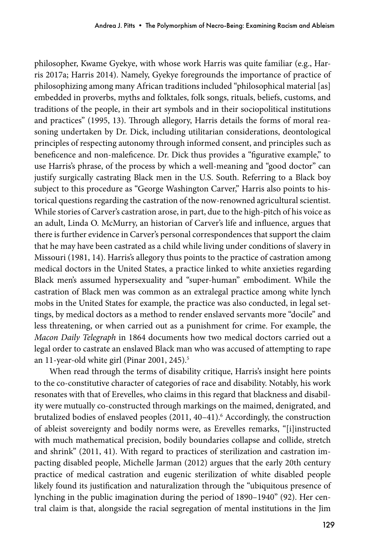philosopher, Kwame Gyekye, with whose work Harris was quite familiar (e.g., Harris 2017a; Harris 2014). Namely, Gyekye foregrounds the importance of practice of philosophizing among many African traditions included "philosophical material [as] embedded in proverbs, myths and folktales, folk songs, rituals, beliefs, customs, and traditions of the people, in their art symbols and in their sociopolitical institutions and practices" (1995, 13). Through allegory, Harris details the forms of moral reasoning undertaken by Dr. Dick, including utilitarian considerations, deontological principles of respecting autonomy through informed consent, and principles such as beneficence and non-maleficence. Dr. Dick thus provides a "figurative example," to use Harris's phrase, of the process by which a well-meaning and "good doctor" can justify surgically castrating Black men in the U.S. South. Referring to a Black boy subject to this procedure as "George Washington Carver," Harris also points to historical questions regarding the castration of the now-renowned agricultural scientist. While stories of Carver's castration arose, in part, due to the high-pitch of his voice as an adult, Linda O. McMurry, an historian of Carver's life and influence, argues that there is further evidence in Carver's personal correspondences that support the claim that he may have been castrated as a child while living under conditions of slavery in Missouri (1981, 14). Harris's allegory thus points to the practice of castration among medical doctors in the United States, a practice linked to white anxieties regarding Black men's assumed hypersexuality and "super-human" embodiment. While the castration of Black men was common as an extralegal practice among white lynch mobs in the United States for example, the practice was also conducted, in legal settings, by medical doctors as a method to render enslaved servants more "docile" and less threatening, or when carried out as a punishment for crime. For example, the *Macon Daily Telegraph* in 1864 documents how two medical doctors carried out a legal order to castrate an enslaved Black man who was accused of attempting to rape an 11-year-old white girl (Pinar 2001, 245).<sup>5</sup>

When read through the terms of disability critique, Harris's insight here points to the co-constitutive character of categories of race and disability. Notably, his work resonates with that of Erevelles, who claims in this regard that blackness and disability were mutually co-constructed through markings on the maimed, denigrated, and brutalized bodies of enslaved peoples (2011, 40–41).<sup>6</sup> Accordingly, the construction of ableist sovereignty and bodily norms were, as Erevelles remarks, "[i]instructed with much mathematical precision, bodily boundaries collapse and collide, stretch and shrink" (2011, 41). With regard to practices of sterilization and castration impacting disabled people, Michelle Jarman (2012) argues that the early 20th century practice of medical castration and eugenic sterilization of white disabled people likely found its justification and naturalization through the "ubiquitous presence of lynching in the public imagination during the period of 1890–1940" (92). Her central claim is that, alongside the racial segregation of mental institutions in the Jim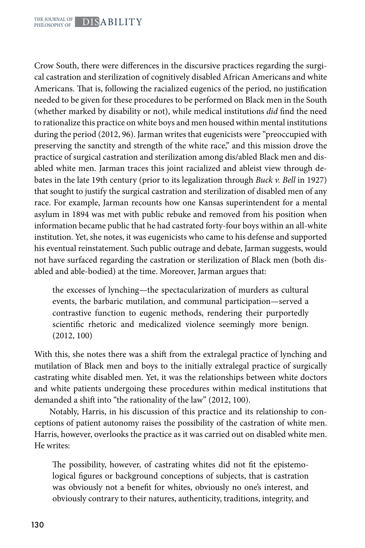Crow South, there were differences in the discursive practices regarding the surgical castration and sterilization of cognitively disabled African Americans and white Americans. That is, following the racialized eugenics of the period, no justification needed to be given for these procedures to be performed on Black men in the South (whether marked by disability or not), while medical institutions *did* find the need to rationalize this practice on white boys and men housed within mental institutions during the period (2012, 96). Jarman writes that eugenicists were "preoccupied with preserving the sanctity and strength of the white race," and this mission drove the practice of surgical castration and sterilization among dis/abled Black men and disabled white men. Jarman traces this joint racialized and ableist view through debates in the late 19th century (prior to its legalization through *Buck v. Bell* in 1927) that sought to justify the surgical castration and sterilization of disabled men of any race. For example, Jarman recounts how one Kansas superintendent for a mental asylum in 1894 was met with public rebuke and removed from his position when information became public that he had castrated forty-four boys within an all-white institution. Yet, she notes, it was eugenicists who came to his defense and supported his eventual reinstatement. Such public outrage and debate, Jarman suggests, would not have surfaced regarding the castration or sterilization of Black men (both disabled and able-bodied) at the time. Moreover, Jarman argues that:

the excesses of lynching—the spectacularization of murders as cultural events, the barbaric mutilation, and communal participation—served a contrastive function to eugenic methods, rendering their purportedly scientific rhetoric and medicalized violence seemingly more benign. (2012, 100)

With this, she notes there was a shift from the extralegal practice of lynching and mutilation of Black men and boys to the initially extralegal practice of surgically castrating white disabled men. Yet, it was the relationships between white doctors and white patients undergoing these procedures within medical institutions that demanded a shift into "the rationality of the law" (2012, 100).

Notably, Harris, in his discussion of this practice and its relationship to conceptions of patient autonomy raises the possibility of the castration of white men. Harris, however, overlooks the practice as it was carried out on disabled white men. He writes:

The possibility, however, of castrating whites did not fit the epistemological figures or background conceptions of subjects, that is castration was obviously not a benefit for whites, obviously no one's interest, and obviously contrary to their natures, authenticity, traditions, integrity, and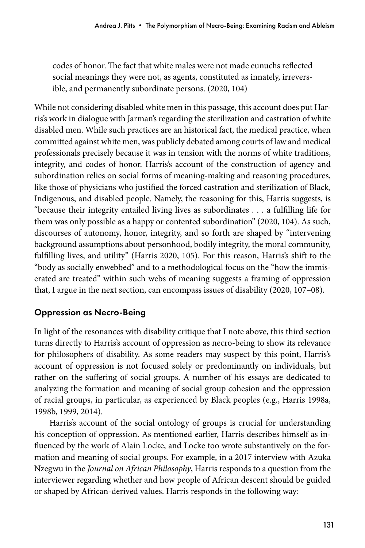codes of honor. The fact that white males were not made eunuchs reflected social meanings they were not, as agents, constituted as innately, irreversible, and permanently subordinate persons. (2020, 104)

While not considering disabled white men in this passage, this account does put Harris's work in dialogue with Jarman's regarding the sterilization and castration of white disabled men. While such practices are an historical fact, the medical practice, when committed against white men, was publicly debated among courts of law and medical professionals precisely because it was in tension with the norms of white traditions, integrity, and codes of honor. Harris's account of the construction of agency and subordination relies on social forms of meaning-making and reasoning procedures, like those of physicians who justified the forced castration and sterilization of Black, Indigenous, and disabled people. Namely, the reasoning for this, Harris suggests, is "because their integrity entailed living lives as subordinates . . . a fulfilling life for them was only possible as a happy or contented subordination" (2020, 104). As such, discourses of autonomy, honor, integrity, and so forth are shaped by "intervening background assumptions about personhood, bodily integrity, the moral community, fulfilling lives, and utility" (Harris 2020, 105). For this reason, Harris's shift to the "body as socially enwebbed" and to a methodological focus on the "how the immiserated are treated" within such webs of meaning suggests a framing of oppression that, I argue in the next section, can encompass issues of disability (2020, 107–08).

## Oppression as Necro-Being

In light of the resonances with disability critique that I note above, this third section turns directly to Harris's account of oppression as necro-being to show its relevance for philosophers of disability. As some readers may suspect by this point, Harris's account of oppression is not focused solely or predominantly on individuals, but rather on the suffering of social groups. A number of his essays are dedicated to analyzing the formation and meaning of social group cohesion and the oppression of racial groups, in particular, as experienced by Black peoples (e.g., Harris 1998a, 1998b, 1999, 2014).

Harris's account of the social ontology of groups is crucial for understanding his conception of oppression. As mentioned earlier, Harris describes himself as influenced by the work of Alain Locke, and Locke too wrote substantively on the formation and meaning of social groups. For example, in a 2017 interview with Azuka Nzegwu in the *Journal on African Philosophy*, Harris responds to a question from the interviewer regarding whether and how people of African descent should be guided or shaped by African-derived values. Harris responds in the following way: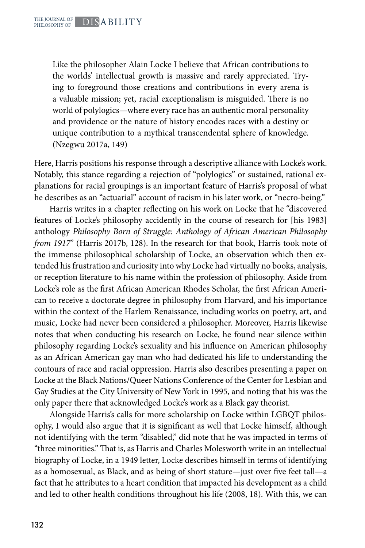Like the philosopher Alain Locke I believe that African contributions to the worlds' intellectual growth is massive and rarely appreciated. Trying to foreground those creations and contributions in every arena is a valuable mission; yet, racial exceptionalism is misguided. There is no world of polylogics—where every race has an authentic moral personality and providence or the nature of history encodes races with a destiny or unique contribution to a mythical transcendental sphere of knowledge. (Nzegwu 2017a, 149)

Here, Harris positions his response through a descriptive alliance with Locke's work. Notably, this stance regarding a rejection of "polylogics'' or sustained, rational explanations for racial groupings is an important feature of Harris's proposal of what he describes as an "actuarial" account of racism in his later work, or "necro-being."

Harris writes in a chapter reflecting on his work on Locke that he "discovered features of Locke's philosophy accidently in the course of research for [his 1983] anthology *Philosophy Born of Struggle: Anthology of African American Philosophy from 1917*" (Harris 2017b, 128). In the research for that book, Harris took note of the immense philosophical scholarship of Locke, an observation which then extended his frustration and curiosity into why Locke had virtually no books, analysis, or reception literature to his name within the profession of philosophy. Aside from Locke's role as the first African American Rhodes Scholar, the first African American to receive a doctorate degree in philosophy from Harvard, and his importance within the context of the Harlem Renaissance, including works on poetry, art, and music, Locke had never been considered a philosopher. Moreover, Harris likewise notes that when conducting his research on Locke, he found near silence within philosophy regarding Locke's sexuality and his influence on American philosophy as an African American gay man who had dedicated his life to understanding the contours of race and racial oppression. Harris also describes presenting a paper on Locke at the Black Nations/Queer Nations Conference of the Center for Lesbian and Gay Studies at the City University of New York in 1995, and noting that his was the only paper there that acknowledged Locke's work as a Black gay theorist.

Alongside Harris's calls for more scholarship on Locke within LGBQT philosophy, I would also argue that it is significant as well that Locke himself, although not identifying with the term "disabled,'' did note that he was impacted in terms of "three minorities." That is, as Harris and Charles Molesworth write in an intellectual biography of Locke, in a 1949 letter, Locke describes himself in terms of identifying as a homosexual, as Black, and as being of short stature—just over five feet tall—a fact that he attributes to a heart condition that impacted his development as a child and led to other health conditions throughout his life (2008, 18). With this, we can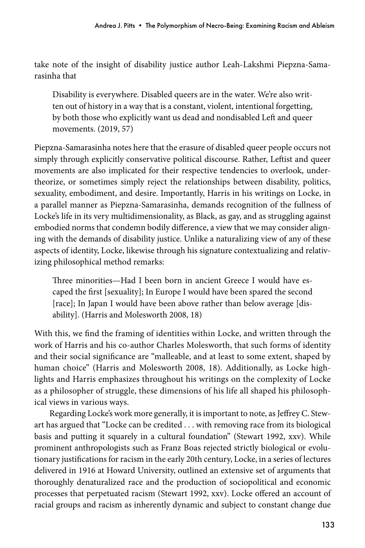take note of the insight of disability justice author Leah-Lakshmi Piepzna-Samarasinha that

Disability is everywhere. Disabled queers are in the water. We're also written out of history in a way that is a constant, violent, intentional forgetting, by both those who explicitly want us dead and nondisabled Left and queer movements. (2019, 57)

Piepzna-Samarasinha notes here that the erasure of disabled queer people occurs not simply through explicitly conservative political discourse. Rather, Leftist and queer movements are also implicated for their respective tendencies to overlook, undertheorize, or sometimes simply reject the relationships between disability, politics, sexuality, embodiment, and desire. Importantly, Harris in his writings on Locke, in a parallel manner as Piepzna-Samarasinha, demands recognition of the fullness of Locke's life in its very multidimensionality, as Black, as gay, and as struggling against embodied norms that condemn bodily difference, a view that we may consider aligning with the demands of disability justice. Unlike a naturalizing view of any of these aspects of identity, Locke, likewise through his signature contextualizing and relativizing philosophical method remarks:

Three minorities—Had I been born in ancient Greece I would have escaped the first [sexuality]; In Europe I would have been spared the second [race]; In Japan I would have been above rather than below average [disability]. (Harris and Molesworth 2008, 18)

With this, we find the framing of identities within Locke, and written through the work of Harris and his co-author Charles Molesworth, that such forms of identity and their social significance are "malleable, and at least to some extent, shaped by human choice" (Harris and Molesworth 2008, 18). Additionally, as Locke highlights and Harris emphasizes throughout his writings on the complexity of Locke as a philosopher of struggle, these dimensions of his life all shaped his philosophical views in various ways.

Regarding Locke's work more generally, it is important to note, as Jeffrey C. Stewart has argued that "Locke can be credited . . . with removing race from its biological basis and putting it squarely in a cultural foundation" (Stewart 1992, xxv). While prominent anthropologists such as Franz Boas rejected strictly biological or evolutionary justifications for racism in the early 20th century, Locke, in a series of lectures delivered in 1916 at Howard University, outlined an extensive set of arguments that thoroughly denaturalized race and the production of sociopolitical and economic processes that perpetuated racism (Stewart 1992, xxv). Locke offered an account of racial groups and racism as inherently dynamic and subject to constant change due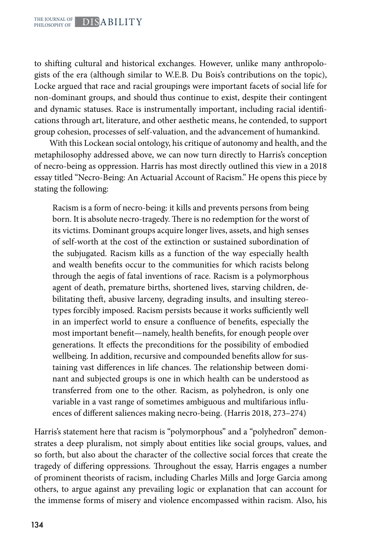to shifting cultural and historical exchanges. However, unlike many anthropologists of the era (although similar to W.E.B. Du Bois's contributions on the topic), Locke argued that race and racial groupings were important facets of social life for non-dominant groups, and should thus continue to exist, despite their contingent and dynamic statuses. Race is instrumentally important, including racial identifications through art, literature, and other aesthetic means, he contended, to support group cohesion, processes of self-valuation, and the advancement of humankind.

With this Lockean social ontology, his critique of autonomy and health, and the metaphilosophy addressed above, we can now turn directly to Harris's conception of necro-being as oppression. Harris has most directly outlined this view in a 2018 essay titled "Necro-Being: An Actuarial Account of Racism." He opens this piece by stating the following:

Racism is a form of necro-being: it kills and prevents persons from being born. It is absolute necro-tragedy. There is no redemption for the worst of its victims. Dominant groups acquire longer lives, assets, and high senses of self-worth at the cost of the extinction or sustained subordination of the subjugated. Racism kills as a function of the way especially health and wealth benefits occur to the communities for which racists belong through the aegis of fatal inventions of race. Racism is a polymorphous agent of death, premature births, shortened lives, starving children, debilitating theft, abusive larceny, degrading insults, and insulting stereotypes forcibly imposed. Racism persists because it works sufficiently well in an imperfect world to ensure a confluence of benefits, especially the most important benefit—namely, health benefits, for enough people over generations. It effects the preconditions for the possibility of embodied wellbeing. In addition, recursive and compounded benefits allow for sustaining vast differences in life chances. The relationship between dominant and subjected groups is one in which health can be understood as transferred from one to the other. Racism, as polyhedron, is only one variable in a vast range of sometimes ambiguous and multifarious influences of different saliences making necro-being. (Harris 2018, 273–274)

Harris's statement here that racism is "polymorphous" and a "polyhedron" demonstrates a deep pluralism, not simply about entities like social groups, values, and so forth, but also about the character of the collective social forces that create the tragedy of differing oppressions. Throughout the essay, Harris engages a number of prominent theorists of racism, including Charles Mills and Jorge Garcia among others, to argue against any prevailing logic or explanation that can account for the immense forms of misery and violence encompassed within racism. Also, his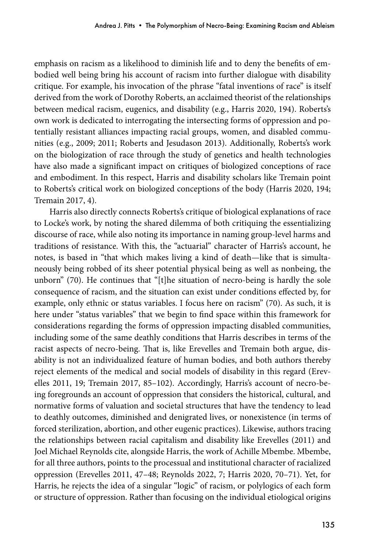emphasis on racism as a likelihood to diminish life and to deny the benefits of embodied well being bring his account of racism into further dialogue with disability critique. For example, his invocation of the phrase "fatal inventions of race" is itself derived from the work of Dorothy Roberts, an acclaimed theorist of the relationships between medical racism, eugenics, and disability (e.g., Harris 2020, 194). Roberts's own work is dedicated to interrogating the intersecting forms of oppression and potentially resistant alliances impacting racial groups, women, and disabled communities (e.g., 2009; 2011; Roberts and Jesudason 2013). Additionally, Roberts's work on the biologization of race through the study of genetics and health technologies have also made a significant impact on critiques of biologized conceptions of race and embodiment. In this respect, Harris and disability scholars like Tremain point to Roberts's critical work on biologized conceptions of the body (Harris 2020, 194; Tremain 2017, 4).

Harris also directly connects Roberts's critique of biological explanations of race to Locke's work, by noting the shared dilemma of both critiquing the essentializing discourse of race, while also noting its importance in naming group-level harms and traditions of resistance. With this, the "actuarial" character of Harris's account, he notes, is based in "that which makes living a kind of death—like that is simultaneously being robbed of its sheer potential physical being as well as nonbeing, the unborn" (70). He continues that "[t]he situation of necro-being is hardly the sole consequence of racism, and the situation can exist under conditions effected by, for example, only ethnic or status variables. I focus here on racism" (70). As such, it is here under "status variables'' that we begin to find space within this framework for considerations regarding the forms of oppression impacting disabled communities, including some of the same deathly conditions that Harris describes in terms of the racist aspects of necro-being. That is, like Erevelles and Tremain both argue, disability is not an individualized feature of human bodies, and both authors thereby reject elements of the medical and social models of disability in this regard (Erevelles 2011, 19; Tremain 2017, 85–102). Accordingly, Harris's account of necro-being foregrounds an account of oppression that considers the historical, cultural, and normative forms of valuation and societal structures that have the tendency to lead to deathly outcomes, diminished and denigrated lives, or nonexistence (in terms of forced sterilization, abortion, and other eugenic practices). Likewise, authors tracing the relationships between racial capitalism and disability like Erevelles (2011) and Joel Michael Reynolds cite, alongside Harris, the work of Achille Mbembe. Mbembe, for all three authors, points to the processual and institutional character of racialized oppression (Erevelles 2011, 47–48; Reynolds 2022, 7; Harris 2020, 70–71). Yet, for Harris, he rejects the idea of a singular "logic" of racism, or polylogics of each form or structure of oppression. Rather than focusing on the individual etiological origins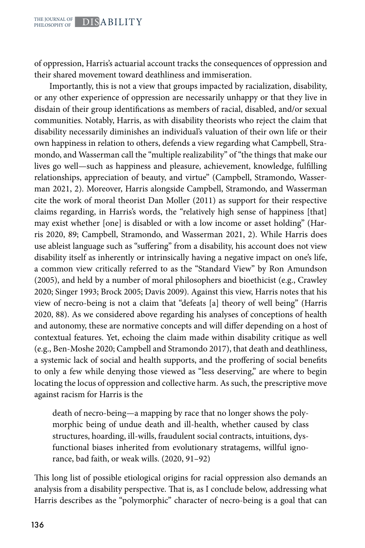of oppression, Harris's actuarial account tracks the consequences of oppression and their shared movement toward deathliness and immiseration.

Importantly, this is not a view that groups impacted by racialization, disability, or any other experience of oppression are necessarily unhappy or that they live in disdain of their group identifications as members of racial, disabled, and/or sexual communities. Notably, Harris, as with disability theorists who reject the claim that disability necessarily diminishes an individual's valuation of their own life or their own happiness in relation to others, defends a view regarding what Campbell, Stramondo, and Wasserman call the "multiple realizability" of "the things that make our lives go well—such as happiness and pleasure, achievement, knowledge, fulfilling relationships, appreciation of beauty, and virtue" (Campbell, Stramondo, Wasserman 2021, 2). Moreover, Harris alongside Campbell, Stramondo, and Wasserman cite the work of moral theorist Dan Moller (2011) as support for their respective claims regarding, in Harris's words, the "relatively high sense of happiness [that] may exist whether [one] is disabled or with a low income or asset holding" (Harris 2020, 89; Campbell, Stramondo, and Wasserman 2021, 2). While Harris does use ableist language such as "suffering" from a disability, his account does not view disability itself as inherently or intrinsically having a negative impact on one's life, a common view critically referred to as the "Standard View" by Ron Amundson (2005), and held by a number of moral philosophers and bioethicist (e.g., Crawley 2020; Singer 1993; Brock 2005; Davis 2009). Against this view, Harris notes that his view of necro-being is not a claim that "defeats [a] theory of well being" (Harris 2020, 88). As we considered above regarding his analyses of conceptions of health and autonomy, these are normative concepts and will differ depending on a host of contextual features. Yet, echoing the claim made within disability critique as well (e.g., Ben-Moshe 2020; Campbell and Stramondo 2017), that death and deathliness, a systemic lack of social and health supports, and the proffering of social benefits to only a few while denying those viewed as "less deserving," are where to begin locating the locus of oppression and collective harm. As such, the prescriptive move against racism for Harris is the

death of necro-being—a mapping by race that no longer shows the polymorphic being of undue death and ill-health, whether caused by class structures, hoarding, ill-wills, fraudulent social contracts, intuitions, dysfunctional biases inherited from evolutionary stratagems, willful ignorance, bad faith, or weak wills. (2020, 91–92)

This long list of possible etiological origins for racial oppression also demands an analysis from a disability perspective. That is, as I conclude below, addressing what Harris describes as the "polymorphic" character of necro-being is a goal that can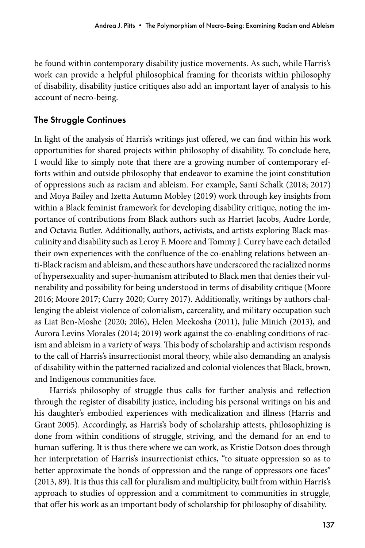be found within contemporary disability justice movements. As such, while Harris's work can provide a helpful philosophical framing for theorists within philosophy of disability, disability justice critiques also add an important layer of analysis to his account of necro-being.

## The Struggle Continues

In light of the analysis of Harris's writings just offered, we can find within his work opportunities for shared projects within philosophy of disability. To conclude here, I would like to simply note that there are a growing number of contemporary efforts within and outside philosophy that endeavor to examine the joint constitution of oppressions such as racism and ableism. For example, Sami Schalk (2018; 2017) and Moya Bailey and Izetta Autumn Mobley (2019) work through key insights from within a Black feminist framework for developing disability critique, noting the importance of contributions from Black authors such as Harriet Jacobs, Audre Lorde, and Octavia Butler. Additionally, authors, activists, and artists exploring Black masculinity and disability such as Leroy F. Moore and Tommy J. Curry have each detailed their own experiences with the confluence of the co-enabling relations between anti-Black racism and ableism, and these authors have underscored the racialized norms of hypersexuality and super-humanism attributed to Black men that denies their vulnerability and possibility for being understood in terms of disability critique (Moore 2016; Moore 2017; Curry 2020; Curry 2017). Additionally, writings by authors challenging the ableist violence of colonialism, carcerality, and military occupation such as Liat Ben-Moshe (2020; 20l6), Helen Meekosha (2011), Julie Minich (2013), and Aurora Levins Morales (2014; 2019) work against the co-enabling conditions of racism and ableism in a variety of ways. This body of scholarship and activism responds to the call of Harris's insurrectionist moral theory, while also demanding an analysis of disability within the patterned racialized and colonial violences that Black, brown, and Indigenous communities face.

Harris's philosophy of struggle thus calls for further analysis and reflection through the register of disability justice, including his personal writings on his and his daughter's embodied experiences with medicalization and illness (Harris and Grant 2005). Accordingly, as Harris's body of scholarship attests, philosophizing is done from within conditions of struggle, striving, and the demand for an end to human suffering. It is thus there where we can work, as Kristie Dotson does through her interpretation of Harris's insurrectionist ethics, "to situate oppression so as to better approximate the bonds of oppression and the range of oppressors one faces" (2013, 89). It is thus this call for pluralism and multiplicity, built from within Harris's approach to studies of oppression and a commitment to communities in struggle, that offer his work as an important body of scholarship for philosophy of disability.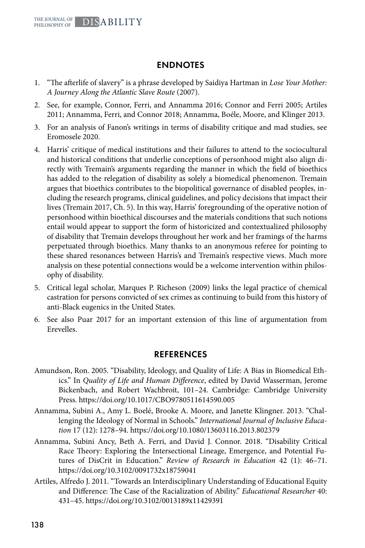### ENDNOTES

- 1. "The afterlife of slavery" is a phrase developed by Saidiya Hartman in *Lose Your Mother: A Journey Along the Atlantic Slave Route* (2007).
- 2. See, for example, Connor, Ferri, and Annamma 2016; Connor and Ferri 2005; Artiles 2011; Annamma, Ferri, and Connor 2018; Annamma, Boéle, Moore, and Klinger 2013.
- 3. For an analysis of Fanon's writings in terms of disability critique and mad studies, see Eromosele 2020.
- 4. Harris' critique of medical institutions and their failures to attend to the sociocultural and historical conditions that underlie conceptions of personhood might also align directly with Tremain's arguments regarding the manner in which the field of bioethics has added to the relegation of disability as solely a biomedical phenomenon. Tremain argues that bioethics contributes to the biopolitical governance of disabled peoples, including the research programs, clinical guidelines, and policy decisions that impact their lives (Tremain 2017, Ch. 5). In this way, Harris' foregrounding of the operative notion of personhood within bioethical discourses and the materials conditions that such notions entail would appear to support the form of historicized and contextualized philosophy of disability that Tremain develops throughout her work and her framings of the harms perpetuated through bioethics. Many thanks to an anonymous referee for pointing to these shared resonances between Harris's and Tremain's respective views. Much more analysis on these potential connections would be a welcome intervention within philosophy of disability.
- 5. Critical legal scholar, Marques P. Richeson (2009) links the legal practice of chemical castration for persons convicted of sex crimes as continuing to build from this history of anti-Black eugenics in the United States.
- 6. See also Puar 2017 for an important extension of this line of argumentation from Erevelles.

#### REFERENCES

- Amundson, Ron. 2005. "Disability, Ideology, and Quality of Life: A Bias in Biomedical Ethics." In *Quality of Life and Human Difference*, edited by David Wasserman, Jerome Bickenbach, and Robert Wachbroit, 101–24. Cambridge: Cambridge University Press. https://doi.org/10.1017/CBO9780511614590.005
- Annamma, Subini A., Amy L. Boelé, Brooke A. Moore, and Janette Klingner. 2013. "Challenging the Ideology of Normal in Schools." *International Journal of Inclusive Education* 17 (12): 1278–94. https://doi.org/10.1080/13603116.2013.802379
- Annamma, Subini Ancy, Beth A. Ferri, and David J. Connor. 2018. "Disability Critical Race Theory: Exploring the Intersectional Lineage, Emergence, and Potential Futures of DisCrit in Education." *Review of Research in Education* 42 (1): 46–71. https://doi.org/10.3102/0091732x18759041
- Artiles, Alfredo J. 2011. "Towards an Interdisciplinary Understanding of Educational Equity and Difference: The Case of the Racialization of Ability." *Educational Researcher* 40: 431–45. https://doi.org/10.3102/0013189x11429391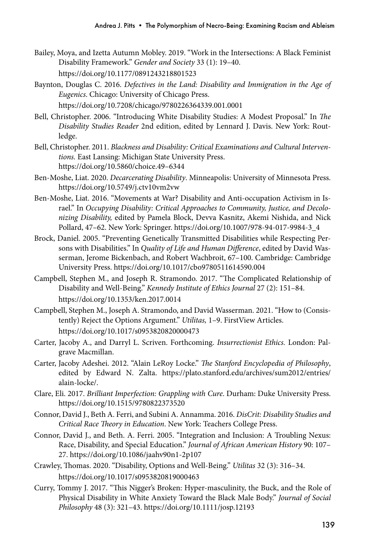- Bailey, Moya, and Izetta Autumn Mobley. 2019. "Work in the Intersections: A Black Feminist Disability Framework." *Gender and Society* 33 (1): 19–40. https://doi.org/10.1177/0891243218801523
- Baynton, Douglas C. 2016. *Defectives in the Land: Disability and Immigration in the Age of Eugenics*. Chicago: University of Chicago Press. https://doi.org/10.7208/chicago/9780226364339.001.0001
- Bell, Christopher. 2006. "Introducing White Disability Studies: A Modest Proposal." In *The Disability Studies Reader* 2nd edition, edited by Lennard J. Davis. New York: Routledge.
- Bell, Christopher. 2011. *Blackness and Disability: Critical Examinations and Cultural Interventions.* East Lansing: Michigan State University Press. https://doi.org/10.5860/choice.49–6344
- Ben-Moshe, Liat. 2020. *Decarcerating Disability*. Minneapolis: University of Minnesota Press. https://doi.org/10.5749/j.ctv10vm2vw
- Ben-Moshe, Liat. 2016. "Movements at War? Disability and Anti-occupation Activism in Israel." In *Occupying Disability: Critical Approaches to Community, Justice, and Decolonizing Disability,* edited by Pamela Block, Devva Kasnitz, Akemi Nishida, and Nick Pollard, 47–62. New York: Springer. https://doi.org/10.1007/978-94-017-9984-3\_4
- Brock, Daniel. 2005. "Preventing Genetically Transmitted Disabilities while Respecting Persons with Disabilities." In *Quality of Life and Human Difference*, edited by David Wasserman, Jerome Bickenbach, and Robert Wachbroit, 67–100. Cambridge: Cambridge University Press. https://doi.org/10.1017/cbo9780511614590.004
- Campbell, Stephen M., and Joseph R. Stramondo. 2017. "The Complicated Relationship of Disability and Well-Being." *Kennedy Institute of Ethics Journal* 27 (2): 151–84. https://doi.org/10.1353/ken.2017.0014
- Campbell, Stephen M., Joseph A. Stramondo, and David Wasserman. 2021. "How to (Consistently) Reject the Options Argument." *Utilitas,* 1–9. FirstView Articles. https://doi.org/10.1017/s0953820820000473
- Carter, Jacoby A., and Darryl L. Scriven. Forthcoming. *Insurrectionist Ethics.* London: Palgrave Macmillan.
- Carter, Jacoby Adeshei. 2012. "Alain LeRoy Locke." *The Stanford Encyclopedia of Philosophy*, edited by Edward N. Zalta. https://plato.stanford.edu/archives/sum2012/entries/ alain-locke/.
- Clare, Eli. 2017. *Brilliant Imperfection: Grappling with Cure*. Durham: Duke University Press. https://doi.org/10.1515/9780822373520
- Connor, David J., Beth A. Ferri, and Subini A. Annamma. 2016. *DisCrit: Disability Studies and Critical Race Theory in Education*. New York: Teachers College Press.
- Connor, David J., and Beth. A. Ferri. 2005. "Integration and Inclusion: A Troubling Nexus: Race, Disability, and Special Education." *Journal of African American History* 90: 107– 27. https://doi.org/10.1086/jaahv90n1-2p107
- Crawley, Thomas. 2020. "Disability, Options and Well-Being." *Utilitas* 32 (3): 316–34. https://doi.org/10.1017/s0953820819000463
- Curry, Tommy J. 2017. "This Nigger's Broken: Hyper-masculinity, the Buck, and the Role of Physical Disability in White Anxiety Toward the Black Male Body." *Journal of Social Philosophy* 48 (3): 321–43. https://doi.org/10.1111/josp.12193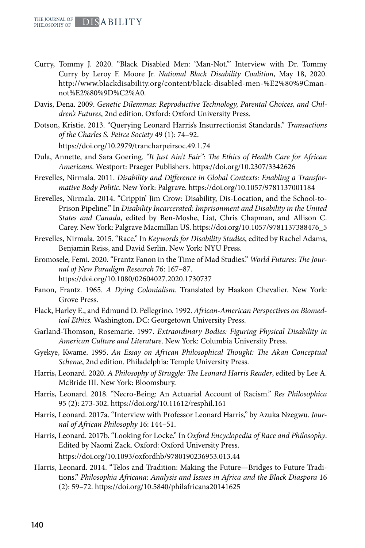- Curry, Tommy J. 2020. "Black Disabled Men: 'Man-Not.'" Interview with Dr. Tommy Curry by Leroy F. Moore Jr. *National Black Disability Coalition*, May 18, 2020. http://www.blackdisability.org/content/black-disabled-men-%E2%80%9Cmannot%E2%80%9D%C2%A0.
- Davis, Dena. 2009. *Genetic Dilemmas: Reproductive Technology, Parental Choices, and Children's Futures*, 2nd edition. Oxford: Oxford University Press.
- Dotson, Kristie. 2013. "Querying Leonard Harris's Insurrectionist Standards." *Transactions of the Charles S. Peirce Society* 49 (1): 74–92.

https://doi.org/10.2979/trancharpeirsoc.49.1.74

- Dula, Annette, and Sara Goering. *"It Just Ain't Fair": The Ethics of Health Care for African Americans*. Westport: Praeger Publishers. https://doi.org/10.2307/3342626
- Erevelles, Nirmala. 2011. *Disability and Difference in Global Contexts: Enabling a Transformative Body Politic*. New York: Palgrave. https://doi.org/10.1057/9781137001184
- Erevelles, Nirmala. 2014. "Crippin' Jim Crow: Disability, Dis-Location, and the School-to-Prison Pipeline." In *Disability Incarcerated: Imprisonment and Disability in the United States and Canada*, edited by Ben-Moshe, Liat, Chris Chapman, and Allison C. Carey. New York: Palgrave Macmillan US. https://doi.org/10.1057/9781137388476\_5
- Erevelles, Nirmala. 2015. "Race." In *Keywords for Disability Studies*, edited by Rachel Adams, Benjamin Reiss, and David Serlin. New York: NYU Press.
- Eromosele, Femi. 2020. "Frantz Fanon in the Time of Mad Studies." *World Futures: The Journal of New Paradigm Research* 76: 167–87. https://doi.org/10.1080/02604027.2020.1730737
- Fanon, Frantz. 1965. *A Dying Colonialism*. Translated by Haakon Chevalier. New York: Grove Press.
- Flack, Harley E., and Edmund D. Pellegrino. 1992. *African-American Perspectives on Biomedical Ethics.* Washington, DC: Georgetown University Press.
- Garland-Thomson, Rosemarie. 1997. *Extraordinary Bodies: Figuring Physical Disability in American Culture and Literature*. New York: Columbia University Press.
- Gyekye, Kwame. 1995. *An Essay on African Philosophical Thought: The Akan Conceptual Scheme*, 2nd edition. Philadelphia: Temple University Press.
- Harris, Leonard. 2020. *A Philosophy of Struggle: The Leonard Harris Reader*, edited by Lee A. McBride III. New York: Bloomsbury.
- Harris, Leonard. 2018. "Necro-Being: An Actuarial Account of Racism." *Res Philosophica*  95 (2): 273-302. https://doi.org/10.11612/resphil.161
- Harris, Leonard. 2017a. "Interview with Professor Leonard Harris," by Azuka Nzegwu. *Journal of African Philosophy* 16: 144–51.
- Harris, Leonard. 2017b. "Looking for Locke." In *Oxford Encyclopedia of Race and Philosophy*. Edited by Naomi Zack. Oxford: Oxford University Press. https://doi.org/10.1093/oxfordhb/9780190236953.013.44
- Harris, Leonard. 2014. "Telos and Tradition: Making the Future—Bridges to Future Traditions." *Philosophia Africana: Analysis and Issues in Africa and the Black Diaspora* 16 (2): 59–72. https://doi.org/10.5840/philafricana20141625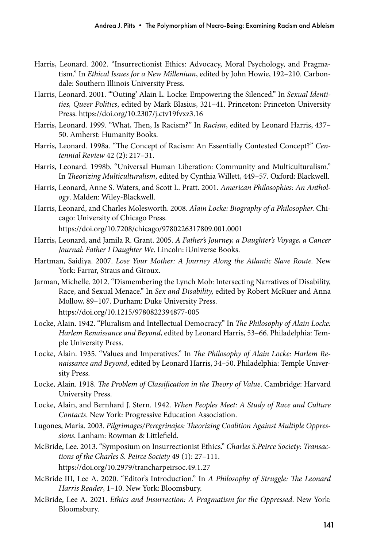- Harris, Leonard. 2002. "Insurrectionist Ethics: Advocacy, Moral Psychology, and Pragmatism." In *Ethical Issues for a New Millenium*, edited by John Howie, 192–210. Carbondale: Southern Illinois University Press.
- Harris, Leonard. 2001. "'Outing' Alain L. Locke: Empowering the Silenced." In *Sexual Identities, Queer Politics*, edited by Mark Blasius, 321–41. Princeton: Princeton University Press. https://doi.org/10.2307/j.ctv19fvxz3.16
- Harris, Leonard. 1999. "What, Then, Is Racism?" In *Racism*, edited by Leonard Harris, 437– 50. Amherst: Humanity Books.
- Harris, Leonard. 1998a. "The Concept of Racism: An Essentially Contested Concept?" *Centennial Review* 42 (2): 217–31.
- Harris, Leonard. 1998b. "Universal Human Liberation: Community and Multiculturalism." In *Theorizing Multiculturalism*, edited by Cynthia Willett, 449–57. Oxford: Blackwell.
- Harris, Leonard, Anne S. Waters, and Scott L. Pratt. 2001. *American Philosophies: An Anthology*. Malden: Wiley-Blackwell.
- Harris, Leonard, and Charles Molesworth. 2008. *Alain Locke: Biography of a Philosopher.* Chicago: University of Chicago Press. https://doi.org/10.7208/chicago/9780226317809.001.0001
- Harris, Leonard, and Jamila R. Grant. 2005. *A Father's Journey, a Daughter's Voyage, a Cancer Journal: Father I Daughter We*. Lincoln: iUniverse Books.
- Hartman, Saidiya. 2007. *Lose Your Mother: A Journey Along the Atlantic Slave Route.* New York: Farrar, Straus and Giroux.
- Jarman, Michelle. 2012. "Dismembering the Lynch Mob: Intersecting Narratives of Disability, Race, and Sexual Menace." In *Sex and Disability,* edited by Robert McRuer and Anna Mollow, 89–107. Durham: Duke University Press. https://doi.org/10.1215/9780822394877-005
- Locke, Alain. 1942. "Pluralism and Intellectual Democracy." In *The Philosophy of Alain Locke: Harlem Renaissance and Beyond*, edited by Leonard Harris, 53–66. Philadelphia: Temple University Press.
- Locke, Alain. 1935. "Values and Imperatives." In *The Philosophy of Alain Locke: Harlem Renaissance and Beyond*, edited by Leonard Harris, 34–50. Philadelphia: Temple University Press.
- Locke, Alain. 1918. *The Problem of Classification in the Theory of Value*. Cambridge: Harvard University Press.
- Locke, Alain, and Bernhard J. Stern. 1942. *When Peoples Meet: A Study of Race and Culture Contacts*. New York: Progressive Education Association.
- Lugones, María. 2003. *Pilgrimages/Peregrinajes: Theorizing Coalition Against Multiple Oppressions*. Lanham: Rowman & Littlefield.
- McBride, Lee. 2013. "Symposium on Insurrectionist Ethics." *Charles S.Peirce Society: Transactions of the Charles S. Peirce Society* 49 (1): 27–111. https://doi.org/10.2979/trancharpeirsoc.49.1.27
- McBride III, Lee A. 2020. "Editor's Introduction." In *A Philosophy of Struggle: The Leonard Harris Reader*, 1–10. New York: Bloomsbury.
- McBride, Lee A. 2021. *Ethics and Insurrection: A Pragmatism for the Oppressed*. New York: Bloomsbury.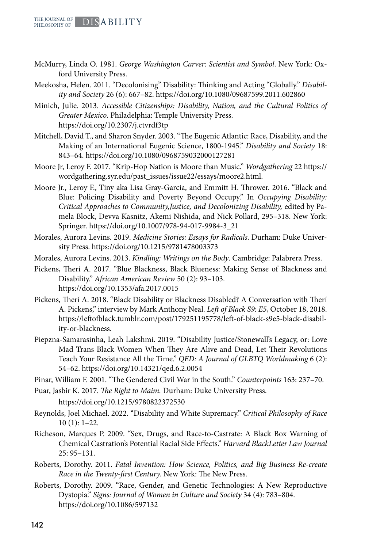- McMurry, Linda O. 1981. *George Washington Carver: Scientist and Symbol*. New York: Oxford University Press.
- Meekosha, Helen. 2011. "Decolonising" Disability: Thinking and Acting "Globally." *Disability and Society* 26 (6): 667–82. https://doi.org/10.1080/09687599.2011.602860
- Minich, Julie. 2013. *Accessible Citizenships: Disability, Nation, and the Cultural Politics of Greater Mexico*. Philadelphia: Temple University Press. https://doi.org/10.2307/j.ctvrdf3tp
- Mitchell, David T., and Sharon Snyder. 2003. "The Eugenic Atlantic: Race, Disability, and the Making of an International Eugenic Science, 1800-1945." *Disability and Society* 18: 843–64. https://doi.org/10.1080/0968759032000127281
- Moore Jr, Leroy F. 2017. "Krip-Hop Nation is Moore than Music." *Wordgathering* 22 https:// wordgathering.syr.edu/past\_issues/issue22/essays/moore2.html.
- Moore Jr., Leroy F., Tiny aka Lisa Gray-Garcia, and Emmitt H. Thrower. 2016. "Black and Blue: Policing Disability and Poverty Beyond Occupy." In *Occupying Disability: Critical Approaches to Community,Justice, and Decolonizing Disability,* edited by Pamela Block, Devva Kasnitz, Akemi Nishida, and Nick Pollard, 295–318. New York: Springer. https://doi.org/10.1007/978-94-017-9984-3\_21
- Morales, Aurora Levins. 2019. *Medicine Stories: Essays for Radicals*. Durham: Duke University Press. https://doi.org/10.1215/9781478003373
- Morales, Aurora Levins. 2013. *Kindling: Writings on the Body*. Cambridge: Palabrera Press.
- Pickens, Therí A. 2017. "Blue Blackness, Black Blueness: Making Sense of Blackness and Disability." *African American Review* 50 (2): 93–103. https://doi.org/10.1353/afa.2017.0015
- Pickens, Therí A. 2018. "Black Disability or Blackness Disabled? A Conversation with Therí A. Pickens," interview by Mark Anthony Neal. *Left of Black S9: E5*, October 18, 2018. https://leftofblack.tumblr.com/post/179251195778/left-of-black-s9e5-black-disability-or-blackness.
- Piepzna-Samarasinha, Leah Lakshmi. 2019. "Disability Justice/Stonewall's Legacy, or: Love Mad Trans Black Women When They Are Alive and Dead, Let Their Revolutions Teach Your Resistance All the Time." *QED: A Journal of GLBTQ Worldmaking* 6 (2): 54–62. https://doi.org/10.14321/qed.6.2.0054

Pinar, William F. 2001. "The Gendered Civil War in the South." *Counterpoints* 163: 237–70.

Puar, Jasbir K. 2017. *The Right to Maim.* Durham: Duke University Press.

https://doi.org/10.1215/9780822372530

- Reynolds, Joel Michael. 2022. "Disability and White Supremacy." *Critical Philosophy of Race*  10 (1): 1–22.
- Richeson, Marques P. 2009. "Sex, Drugs, and Race-to-Castrate: A Black Box Warning of Chemical Castration's Potential Racial Side Effects." *Harvard BlackLetter Law Journal* 25: 95–131.
- Roberts, Dorothy. 2011. *Fatal Invention: How Science, Politics, and Big Business Re-create Race in the Twenty-first Century.* New York: The New Press.
- Roberts, Dorothy. 2009. "Race, Gender, and Genetic Technologies: A New Reproductive Dystopia." *Signs: Journal of Women in Culture and Society* 34 (4): 783–804. https://doi.org/10.1086/597132